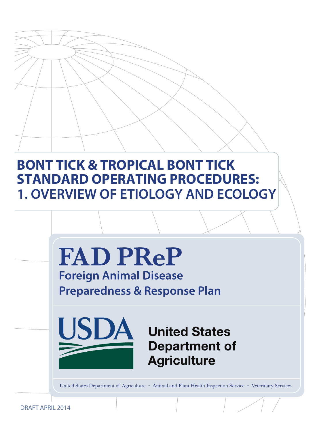# **BONT TICK & TROPICAL BONT TICK STANDARD OPERATING PROCEDURES: 1. OVERVIEW OF ETIOLOGY AND ECOLOGY**



United States Department of Agriculture • Animal and Plant Health Inspection Service • Veterinary Services

DRAFT APRIL 2014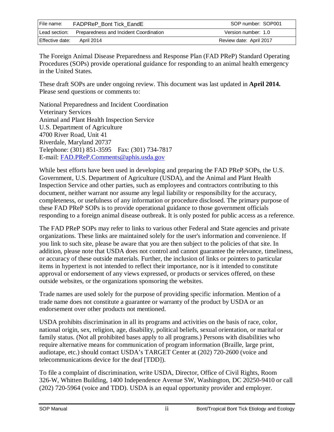| File name:      | <b>FADPReP Bont Tick EandE</b>                       | SOP number: SOP001      |
|-----------------|------------------------------------------------------|-------------------------|
|                 | Lead section: Preparedness and Incident Coordination | Version number: 1.0     |
| Effective date: | April 2014                                           | Review date: April 2017 |

The Foreign Animal Disease Preparedness and Response Plan (FAD PReP) Standard Operating Procedures (SOPs) provide operational guidance for responding to an animal health emergency in the United States.

These draft SOPs are under ongoing review. This document was last updated in **April 2014.**  Please send questions or comments to:

National Preparedness and Incident Coordination Veterinary Services Animal and Plant Health Inspection Service U.S. Department of Agriculture 4700 River Road, Unit 41 Riverdale, Maryland 20737 Telephone: (301) 851-3595 Fax: (301) 734-7817 E-mail: [FAD.PReP.Comments@aphis.usda.gov](mailto:FAD.PReP.Comments@aphis.usda.gov)

While best efforts have been used in developing and preparing the FAD PReP SOPs, the U.S. Government, U.S. Department of Agriculture (USDA), and the Animal and Plant Health Inspection Service and other parties, such as employees and contractors contributing to this document, neither warrant nor assume any legal liability or responsibility for the accuracy, completeness, or usefulness of any information or procedure disclosed. The primary purpose of these FAD PReP SOPs is to provide operational guidance to those government officials responding to a foreign animal disease outbreak. It is only posted for public access as a reference.

The FAD PReP SOPs may refer to links to various other Federal and State agencies and private organizations. These links are maintained solely for the user's information and convenience. If you link to such site, please be aware that you are then subject to the policies of that site. In addition, please note that USDA does not control and cannot guarantee the relevance, timeliness, or accuracy of these outside materials. Further, the inclusion of links or pointers to particular items in hypertext is not intended to reflect their importance, nor is it intended to constitute approval or endorsement of any views expressed, or products or services offered, on these outside websites, or the organizations sponsoring the websites.

Trade names are used solely for the purpose of providing specific information. Mention of a trade name does not constitute a guarantee or warranty of the product by USDA or an endorsement over other products not mentioned.

USDA prohibits discrimination in all its programs and activities on the basis of race, color, national origin, sex, religion, age, disability, political beliefs, sexual orientation, or marital or family status. (Not all prohibited bases apply to all programs.) Persons with disabilities who require alternative means for communication of program information (Braille, large print, audiotape, etc.) should contact USDA's TARGET Center at (202) 720-2600 (voice and telecommunications device for the deaf [TDD]).

To file a complaint of discrimination, write USDA, Director, Office of Civil Rights, Room 326-W, Whitten Building, 1400 Independence Avenue SW, Washington, DC 20250-9410 or call (202) 720-5964 (voice and TDD). USDA is an equal opportunity provider and employer.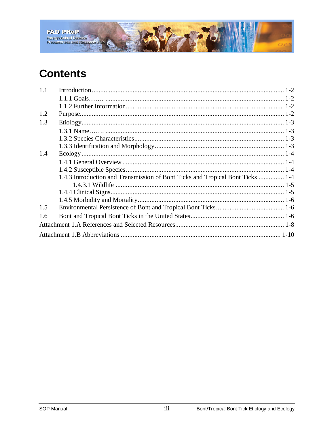

# **Contents**

| 1.1 |                                                                                |  |
|-----|--------------------------------------------------------------------------------|--|
|     |                                                                                |  |
|     |                                                                                |  |
| 1.2 |                                                                                |  |
| 1.3 |                                                                                |  |
|     |                                                                                |  |
|     |                                                                                |  |
|     |                                                                                |  |
| 1.4 |                                                                                |  |
|     |                                                                                |  |
|     |                                                                                |  |
|     | 1.4.3 Introduction and Transmission of Bont Ticks and Tropical Bont Ticks  1-4 |  |
|     |                                                                                |  |
|     |                                                                                |  |
|     |                                                                                |  |
| 1.5 |                                                                                |  |
| 1.6 |                                                                                |  |
|     |                                                                                |  |
|     |                                                                                |  |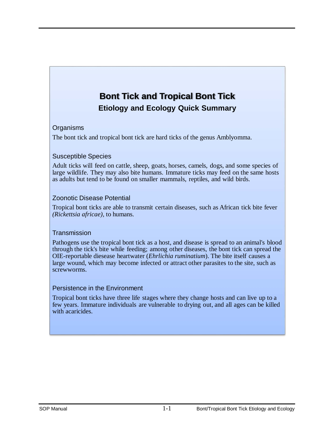# **Bont Tick and Tropical Bont Tick Etiology and Ecology Quick Summary**

#### **Organisms**

The bont tick and tropical bont tick are hard ticks of the genus Amblyomma.

#### Susceptible Species

Adult ticks will feed on cattle, sheep, goats, horses, camels, dogs, and some species of large wildlife. They may also bite humans. Immature ticks may feed on the same hosts as adults but tend to be found on smaller mammals, reptiles, and wild birds.

#### Zoonotic Disease Potential

Tropical bont ticks are able to transmit certain diseases, such as African tick bite fever *(Rickettsia africae),* to humans.

#### **Transmission**

Pathogens use the tropical bont tick as a host, and disease is spread to an animal's blood through the tick's bite while feeding; among other diseases, the bont tick can spread the OIE-reportable diesease heartwater (*Ehrlichia ruminatium*). The bite itself causes a large wound, which may become infected or attract other parasites to the site, such as screwworms.

#### Persistence in the Environment

Tropical bont ticks have three life stages where they change hosts and can live up to a few years. Immature individuals are vulnerable to drying out, and all ages can be killed with acaricides.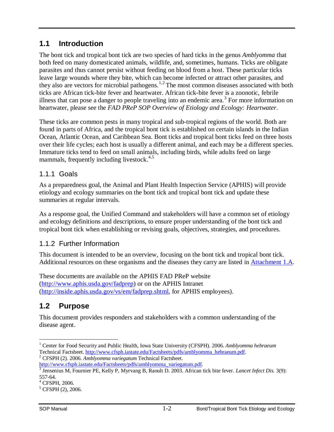## <span id="page-4-0"></span>**1.1 Introduction**

The bont tick and tropical bont tick are two species of hard ticks in the genus *Amblyomma* that both feed on many domesticated animals, wildlife, and, sometimes, humans. Ticks are obligate parasites and thus cannot persist without feeding on blood from a host. These particular ticks leave large wounds where they bite, which can become infected or attract other parasites, and they also are vectors for microbial pathogens.<sup>[1](#page-4-4),[2](#page-4-5)</sup> The most common diseases associated with both ticks are African tick-bite fever and heartwater. African tick-bite fever is a zoonotic, febrile illness that can pose a danger to people traveling into an endemic area.<sup>[3](#page-4-6)</sup> For more information on heartwater, please see the *FAD PReP SOP Overview of Etiology and Ecology: Heartwater*.

These ticks are common pests in many tropical and sub-tropical regions of the world. Both are found in parts of Africa, and the tropical bont tick is established on certain islands in the Indian Ocean, Atlantic Ocean, and Caribbean Sea. Bont ticks and tropical bont ticks feed on three hosts over their life cycles; each host is usually a different animal, and each may be a different species. Immature ticks tend to feed on small animals, including birds, while adults feed on large mammals, frequently including livestock.<sup>[4](#page-4-7),[5](#page-4-8)</sup>

### <span id="page-4-1"></span>1.1.1 Goals

As a preparedness goal, the Animal and Plant Health Inspection Service (APHIS) will provide etiology and ecology summaries on the bont tick and tropical bont tick and update these summaries at regular intervals.

As a response goal, the Unified Command and stakeholders will have a common set of etiology and ecology definitions and descriptions, to ensure proper understanding of the bont tick and tropical bont tick when establishing or revising goals, objectives, strategies, and procedures.

### <span id="page-4-2"></span>1.1.2 Further Information

This document is intended to be an overview, focusing on the bont tick and tropical bont tick. Additional resources on these organisms and the diseases they carry are listed in [Attachment 1.A.](#page-10-0)

These documents are available on the APHIS FAD PReP website [\(http://www.aphis.usda.gov/fadprep\)](http://www.aphis.usda.gov/fadprep) or on the APHIS Intranet [\(http://inside.aphis.usda.gov/vs/em/fadprep.shtml,](http://inside.aphis.usda.gov/vs/em/fadprep.shtml) for APHIS employees).

## <span id="page-4-3"></span>**1.2 Purpose**

This document provides responders and stakeholders with a common understanding of the disease agent.

<span id="page-4-4"></span><sup>1</sup> Center for Food Security and Public Health, Iowa State University (CFSPH). 2006. *Amblyomma hebraeum* Technical Factsheet[. http://www.cfsph.iastate.edu/Factsheets/pdfs/amblyomma\\_hebraeum.pdf.](http://www.cfsph.iastate.edu/Factsheets/pdfs/amblyomma_hebraeum.pdf) <sup>2</sup> CFSPH (2). 2006. *Amblyomma variegatum* Technical Factsheet.  $\overline{a}$ 

<span id="page-4-6"></span><span id="page-4-5"></span>[http://www.cfsph.iastate.edu/Factsheets/pdfs/amblyomma\\_variegatum.pdf.](http://www.cfsph.iastate.edu/Factsheets/pdfs/amblyomma_variegatum.pdf)<br><sup>[3](http://www.cfsph.iastate.edu/Factsheets/pdfs/amblyomma_variegatum.pdf)</sup> Jensenius M, Fournier PE, Kelly P, Myrvang B, Raoult D. 2003. African tick bite fever. *Lancet Infect Dis.* 3(9):<br>557-64.

<span id="page-4-7"></span><sup>&</sup>lt;sup>4</sup> CFSPH, 2006.

<span id="page-4-8"></span> $5$  CFSPH (2), 2006.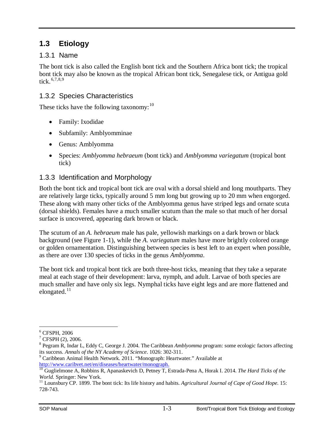## <span id="page-5-0"></span>**1.3 Etiology**

#### <span id="page-5-1"></span>1.3.1 Name

The bont tick is also called the English bont tick and the Southern Africa bont tick; the tropical bont tick may also be known as the tropical African bont tick, Senegalese tick, or Antigua gold tick. [6,](#page-5-4)[7](#page-5-5),[8,](#page-5-6)[9](#page-5-7)

#### <span id="page-5-2"></span>1.3.2 Species Characteristics

These ticks have the following taxonomy: $^{10}$  $^{10}$  $^{10}$ 

- Family: Ixodidae
- Subfamily: Amblyomminae
- Genus: Amblyomma
- Species: *Amblyomma hebraeum* (bont tick) and *Amblyomma variegatum* (tropical bont tick)

#### <span id="page-5-3"></span>1.3.3 Identification and Morphology

Both the bont tick and tropical bont tick are oval with a dorsal shield and long mouthparts. They are relatively large ticks, typically around 5 mm long but growing up to 20 mm when engorged. These along with many other ticks of the Amblyomma genus have striped legs and ornate scuta (dorsal shields). Females have a much smaller scutum than the male so that much of her dorsal surface is uncovered, appearing dark brown or black.

The scutum of an *A. hebraeum* male has pale, yellowish markings on a dark brown or black background (see Figure 1-1), while the *A. variegatum* males have more brightly colored orange or golden ornamentation. Distinguishing between species is best left to an expert when possible, as there are over 130 species of ticks in the genus *Amblyomma*.

The bont tick and tropical bont tick are both three-host ticks, meaning that they take a separate meal at each stage of their development: larva, nymph, and adult. Larvae of both species are much smaller and have only six legs. Nymphal ticks have eight legs and are more flattened and elongated. $^{11}$  $^{11}$  $^{11}$ 

<sup>6</sup> CFSPH, 2006  $\overline{a}$ 

<span id="page-5-5"></span><span id="page-5-4"></span> $7$  CFSPH (2), 2006.

<span id="page-5-6"></span><sup>8</sup> Pegram R, Indar L, Eddy C, George J. 2004. The Caribbean *Amblyomma* program: some ecologic factors affecting its success. *Annals of the NY Academy of Science*. 1026: 302-311. <sup>9</sup> Caribbean Animal Health Network. 2011. "Monograph: Heartwater." Available at

<span id="page-5-7"></span>

<span id="page-5-8"></span>[http://www.caribvet.net/en/diseases/heartwater/monograph.](http://www.caribvet.net/en/diseases/heartwater/monograph) [10](http://www.caribvet.net/en/diseases/heartwater/monograph) Guglielmone A, Robbins R, Apanaskevich D, Petney T, Estrada-Pena A, Horak I. 2014. *The Hard Ticks of the* 

<span id="page-5-9"></span>*World.* Springer: New York.<br><sup>11</sup> Lounsbury CP. 1899. The bont tick: Its life history and habits. *Agricultural Journal of Cape of Good Hope*. 15: 728-743.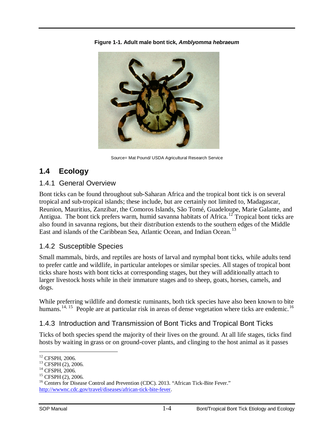

**Figure 1-1. Adult male bont tick,** *Amblyomma hebraeum*

Source= Mat Pound/ USDA Agricultural Research Service

## <span id="page-6-0"></span>**1.4 Ecology**

#### <span id="page-6-1"></span>1.4.1 General Overview

Bont ticks can be found throughout sub-Saharan Africa and the tropical bont tick is on several tropical and sub-tropical islands; these include, but are certainly not limited to, Madagascar, Reunion, Mauritius, Zanzibar, the Comoros Islands, São Tomé, Guadeloupe, Marie Galante, and Antigua. The bont tick prefers warm, humid savanna habitats of Africa.<sup>[12](#page-6-4)</sup> Tropical bont ticks are also found in savanna regions, but their distribution extends to the southern edges of the Middle East and islands of the Caribbean Sea, Atlantic Ocean, and Indian Ocean.<sup>[13](#page-6-5)</sup>

### <span id="page-6-2"></span>1.4.2 Susceptible Species

Small mammals, birds, and reptiles are hosts of larval and nymphal bont ticks, while adults tend to prefer cattle and wildlife, in particular antelopes or similar species. All stages of tropical bont ticks share hosts with bont ticks at corresponding stages, but they will additionally attach to larger livestock hosts while in their immature stages and to sheep, goats, horses, camels, and dogs.

While preferring wildlife and domestic ruminants, both tick species have also been known to bite humans.<sup>[14,](#page-6-6) [15](#page-6-7)</sup> People are at particular risk in areas of dense vegetation where ticks are endemic.<sup>[16](#page-6-8)</sup>

### <span id="page-6-3"></span>1.4.3 Introduction and Transmission of Bont Ticks and Tropical Bont Ticks

Ticks of both species spend the majority of their lives on the ground. At all life stages, ticks find hosts by waiting in grass or on ground-cover plants, and clinging to the host animal as it passes

<sup>&</sup>lt;sup>12</sup> CFSPH, 2006.

<span id="page-6-8"></span><span id="page-6-7"></span>

<span id="page-6-6"></span><span id="page-6-5"></span><span id="page-6-4"></span><sup>&</sup>lt;sup>13</sup> CFSPH (2), 2006.<br><sup>14</sup> CFSPH, 2006.<br><sup>15</sup> CFSPH (2), 2006.<br><sup>16</sup> Centers for Disease Control and Prevention (CDC). 2013. "African Tick-Bite Fever." [http://wwwnc.cdc.gov/travel/diseases/african-tick-bite-fever.](http://wwwnc.cdc.gov/travel/diseases/african-tick-bite-fever)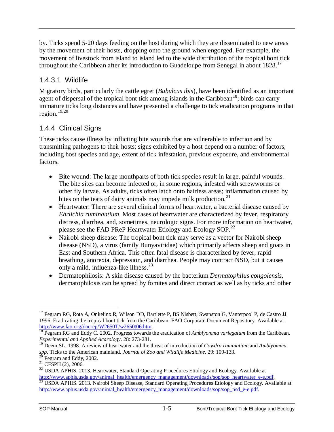by. Ticks spend 5-20 days feeding on the host during which they are disseminated to new areas by the movement of their hosts, dropping onto the ground when engorged. For example, the movement of livestock from island to island led to the wide distribution of the tropical bont tick throughout the Caribbean after its introduction to Guadeloupe from Senegal in about  $1828$ .<sup>[17](#page-7-2)</sup>

### <span id="page-7-0"></span>1.4.3.1 Wildlife

Migratory birds, particularly the cattle egret (*Bubulcus ibis*), have been identified as an important agent of dispersal of the tropical bont tick among islands in the Caribbean<sup>[18](#page-7-3)</sup>; birds can carry immature ticks long distances and have presented a challenge to tick eradication programs in that region. [19](#page-7-4),[20](#page-7-5)

### <span id="page-7-1"></span>1.4.4 Clinical Signs

These ticks cause illness by inflicting bite wounds that are vulnerable to infection and by transmitting pathogens to their hosts; signs exhibited by a host depend on a number of factors, including host species and age, extent of tick infestation, previous exposure, and environmental factors.

- Bite wound: The large mouthparts of both tick species result in large, painful wounds. The bite sites can become infected or, in some regions, infested with screwworms or other fly larvae. As adults, ticks often latch onto hairless areas; inflammation caused by bites on the teats of dairy animals may impede milk production.<sup>[21](#page-7-6)</sup>
- Heartwater: There are several clinical forms of heartwater, a bacterial disease caused by *Ehrlichia ruminantium*. Most cases of heartwater are characterized by fever, respiratory distress, diarrhea, and, sometimes, neurologic signs. For more information on heartwater, please see the FAD PReP Heartwater Etiology and Ecology SOP*.* [22](#page-7-7)
- Nairobi sheep disease: The tropical bont tick may serve as a vector for Nairobi sheep disease (NSD), a virus (family Bunyaviridae) which primarily affects sheep and goats in East and Southern Africa. This often fatal disease is characterized by fever, rapid breathing, anorexia, depression, and diarrhea. People may contract NSD, but it causes only a mild, influenza-like illness.[23](#page-7-8)
- Dermatophilosis: A skin disease caused by the bacterium *Dermatophilus congolensis*, dermatophilosis can be spread by fomites and direct contact as well as by ticks and other

<span id="page-7-2"></span><sup>&</sup>lt;sup>17</sup> Pegram RG, Rota A, Onkelinx R, Wilson DD, Bartlette P, BS Nisbett, Swanston G, Vanterpool P, de Castro JJ. 1996. Eradicating the tropical bont tick from the Caribbean. FAO Corporate Document Repository. Available at  $\overline{a}$ 

<span id="page-7-3"></span>[http://www.fao.org/docrep/W2650T/w2650t06.htm.](http://www.fao.org/docrep/W2650T/w2650t06.htm) <sup>18</sup> Pegram RG and Eddy C. 2002. Progress towards the eradication of *Amblyomma variegatum* from the Caribbean. *Experimental and Applied Acarology*. 28: 273-281.

<span id="page-7-4"></span><sup>19</sup> Deem SL. 1998. A review of heartwater and the threat of introduction of *Cowdra ruminatium* and *Amblyomma*  spp. Ticks to the American mainland. Journal of Zoo and Wildlife Medicine. 29: 109-133.<br><sup>20</sup> Pegram and Eddy, 2002.<br><sup>21</sup> CFSPH (2), 2006.<br><sup>22</sup> USDA APHIS. 2013. Heartwater, Standard Operating Procedures Etiology and Ecolog

<span id="page-7-5"></span>

<span id="page-7-7"></span><span id="page-7-6"></span>[http://www.aphis.usda.gov/animal\\_health/emergency\\_management/downloads/sop/sop\\_heartwater\\_e-e.pdf.](http://www.aphis.usda.gov/animal_health/emergency_management/downloads/sop/sop_heartwater_e-e.pdf) <sup>[23](http://www.aphis.usda.gov/animal_health/emergency_management/downloads/sop/sop_heartwater_e-e.pdf)</sup> USDA APHIS. 2013. Nairobi Sheep Disease, Standard Operating Procedures Etiology and Ecology. Available at

<span id="page-7-8"></span>[http://www.aphis.usda.gov/animal\\_health/emergency\\_management/downloads/sop/sop\\_nsd\\_e-e.pdf.](http://www.aphis.usda.gov/animal_health/emergency_management/downloads/sop/sop_nsd_e-e.pdf)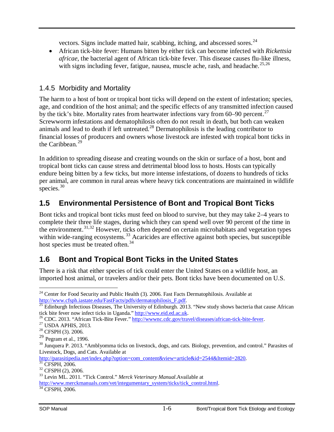vectors. Signs include matted hair, scabbing, itching, and abscessed sores.<sup>[24](#page-8-3)</sup>

• African tick-bite fever: Humans bitten by either tick can become infected with *Rickettsia africae*, the bacterial agent of African tick-bite fever. This disease causes flu-like illness, with signs including fever, fatigue, nausea, muscle ache, rash, and headache.<sup>[25,](#page-8-4)[26](#page-8-5)</sup>

#### <span id="page-8-0"></span>1.4.5 Morbidity and Mortality

The harm to a host of bont or tropical bont ticks will depend on the extent of infestation; species, age, and condition of the host animal; and the specific effects of any transmitted infection caused by the tick's bite. Mortality rates from heartwater infections vary from  $60-90$  percent.<sup>[27](#page-8-6)</sup> Screwworm infestations and dematophilosis often do not result in death, but both can weaken animals and lead to death if left untreated. $^{28}$  $^{28}$  $^{28}$  Dermatophilosis is the leading contributor to financial losses of producers and owners whose livestock are infested with tropical bont ticks in the Caribbean. $^{29}$  $^{29}$  $^{29}$ 

In addition to spreading disease and creating wounds on the skin or surface of a host, bont and tropical bont ticks can cause stress and detrimental blood loss to hosts. Hosts can typically endure being bitten by a few ticks, but more intense infestations, of dozens to hundreds of ticks per animal, are common in rural areas where heavy tick concentrations are maintained in wildlife species.<sup>[30](#page-8-9)</sup>

## <span id="page-8-1"></span>**1.5 Environmental Persistence of Bont and Tropical Bont Ticks**

Bont ticks and tropical bont ticks must feed on blood to survive, but they may take 2–4 years to complete their three life stages, during which they can spend well over 90 percent of the time in the environment.<sup>[31,](#page-8-10)[32](#page-8-11)</sup> However, ticks often depend on certain microhabitats and vegetation types within wide-ranging ecosystems.<sup>[33](#page-8-12)</sup> Acaricides are effective against both species, but susceptible host species must be treated often. [34](#page-8-13)

# <span id="page-8-2"></span>**1.6 Bont and Tropical Bont Ticks in the United States**

There is a risk that either species of tick could enter the United States on a wildlife host, an imported host animal, or travelers and/or their pets. Bont ticks have been documented on U.S.

<sup>&</sup>lt;sup>24</sup> Center for Food Security and Public Health (3). 2006. Fast Facts Dermatophilosis. Available at  $\overline{a}$ 

<span id="page-8-4"></span><span id="page-8-3"></span>http://www.cfsph.iastate.edu/FastFacts/pdfs/dermatophilosis\_F.pdf.<br><sup>25</sup> Edinburgh Infectious Diseases, The University of Edinburgh. 2013. "New study shows bacteria that cause African<br>tick bite fever now infect ticks in Uga

<span id="page-8-6"></span><span id="page-8-5"></span><sup>&</sup>lt;sup>26</sup> CDC. 2013. "African Tick-Bite Fever."  $\frac{http://www.ccc.cq.c.gov/travel/diseases/affican-tick-bite-fever.$ <sup>27</sup> USDA APHIS, 2013. 2006.

<span id="page-8-8"></span><span id="page-8-7"></span> $29$  Pegram et al., 1996.

<span id="page-8-9"></span><sup>&</sup>lt;sup>30</sup> Junquera P. 2013. "Amblyomma ticks on livestock, dogs, and cats. Biology, prevention, and control." Parasites of Livestock, Dogs, and Cats. Available at

<span id="page-8-10"></span>[http://parasitipedia.net/index.php?option=com\\_content&view=article&id=2544&Itemid=2820.](http://parasitipedia.net/index.php?option=com_content&view=article&id=2544&Itemid=2820)<br><sup>[31](http://parasitipedia.net/index.php?option=com_content&view=article&id=2544&Itemid=2820)</sup> CFSPH, 2006.<br><sup>32</sup> CFSPH (2), 2006.<br><sup>33</sup> Levin ML. 2011. "Tick Control." *Merck Veterinary Manual*.Available at

<span id="page-8-11"></span>

<span id="page-8-13"></span><span id="page-8-12"></span>[http://www.merckmanuals.com/vet/integumentary\\_system/ticks/tick\\_control.html.](http://www.merckmanuals.com/vet/integumentary_system/ticks/tick_control.html)<br><sup>[34](http://www.merckmanuals.com/vet/integumentary_system/ticks/tick_control.html)</sup> CFSPH, 2006.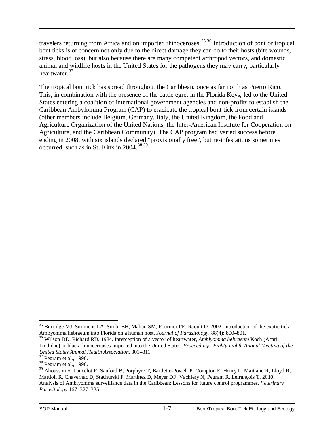travelers returning from Africa and on imported rhinoceroses.<sup>[35](#page-9-0),[36](#page-9-1)</sup> Introduction of bont or tropical bont ticks is of concern not only due to the direct damage they can do to their hosts (bite wounds, stress, blood loss), but also because there are many competent arthropod vectors, and domestic animal and wildlife hosts in the United States for the pathogens they may carry, particularly heartwater.<sup>[37](#page-9-2)</sup>

The tropical bont tick has spread throughout the Caribbean, once as far north as Puerto Rico. This, in combination with the presence of the cattle egret in the Florida Keys, led to the United States entering a coalition of international government agencies and non-profits to establish the Caribbean Ambylomma Program (CAP) to eradicate the tropical bont tick from certain islands (other members include Belgium, Germany, Italy, the United Kingdom, the Food and Agriculture Organization of the United Nations, the Inter-American Institute for Cooperation on Agriculture, and the Caribbean Community). The CAP program had varied success before ending in 2008, with six islands declared "provisionally free", but re-infestations sometimes occurred, such as in St. Kitts in 2004.<sup>[38,](#page-9-3)[39](#page-9-4)</sup>

<span id="page-9-0"></span> $35$  Burridge MJ, Simmons LA, Simbi BH, Mahan SM, Fournier PE, Raoult D. 2002. Introduction of the exotic tick Ambyomma hebraeum into Florida on a human host. Journal of Parasitology. 88(4): 800–801.

<span id="page-9-1"></span><sup>&</sup>lt;sup>36</sup> Wilson DD, Richard RD. 1984. Interception of a vector of heartwater, *Amblyomma hebraeum* Koch (Acari: Ixodidae) or black rhinocerouses imported into the United States. *Proceedings, Eighty-eighth Annual Meeting of the United States Animal Health Association.* 301–311.<br><sup>37</sup> Pegram et al., 1996.<br><sup>38</sup> Pegram et al., 1996.

<span id="page-9-2"></span>

<span id="page-9-4"></span><span id="page-9-3"></span><sup>&</sup>lt;sup>39</sup> Ahoussou S, Lancelot R, Sanford B, Porphyre T, Bartlette-Powell P, Compton E, Henry L, Maitland R, Lloyd R, Mattioli R, Chavernac D, Stachurski F, Martinez D, Meyer DF, Vachiery N, Pegram R, Lefrançois T. 2010. Analysis of Amblyomma surveillance data in the Caribbean: Lessons for future control programmes. *Veterinary Parasitology.*167: 327–335.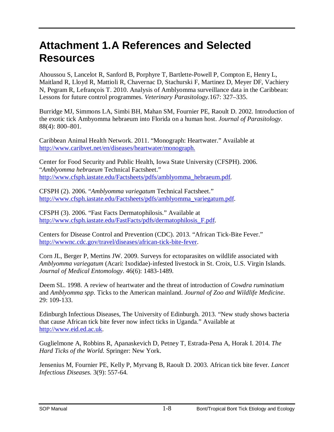# **Attachment 1.A References and Selected Resources**

<span id="page-10-0"></span>Ahoussou S, Lancelot R, Sanford B, Porphyre T, Bartlette-Powell P, Compton E, Henry L, Maitland R, Lloyd R, Mattioli R, Chavernac D, Stachurski F, Martinez D, Meyer DF, Vachiery N, Pegram R, Lefrançois T. 2010. Analysis of Amblyomma surveillance data in the Caribbean: Lessons for future control programmes. *Veterinary Parasitology.*167: 327–335.

Burridge MJ, Simmons LA, Simbi BH, Mahan SM, Fournier PE, Raoult D. 2002. Introduction of the exotic tick Ambyomma hebraeum into Florida on a human host. *Journal of Parasitology*. 88(4): 800–801.

Caribbean Animal Health Network. 2011. "Monograph: Heartwater." Available at http://www.caribvet.net/en/diseases/heartwater/monograph.

Center for Food Security and Public Health, Iowa State University (CFSPH). 2006. "*Amblyomma hebraeum* Technical Factsheet." [http://www.cfsph.iastate.edu/Factsheets/pdfs/amblyomma\\_h](http://www.caribvet.net/en/diseases/heartwater/monograph)ebraeum.pdf.

CFSPH (2). 2006. "*Amblyomma variegatum* Technical Factsheet." http://www.cfsph.iastate.edu/Factsheets/pdfs/amblyomma\_variegatum.pdf.

[CFSPH \(3\). 2006. "Fast Facts Dermatophilosis." Available at](http://www.cfsph.iastate.edu/Factsheets/pdfs/amblyomma_hebraeum.pdf)  http://www.cfsph.iastate.edu/FastFacts/pdfs/dermatophilosis\_F.pdf.

[Centers for Disease Control and Prevention \(CDC\). 2013. "African Tick-Bi](http://www.cfsph.iastate.edu/Factsheets/pdfs/amblyomma_variegatum.pdf)te Fever." http://wwwnc.cdc.gov/travel/diseases/african-tick-bite-fever.

[Corn JL, Berger P, Mertins JW. 2009. Surveys for ectoparasites on](http://www.cfsph.iastate.edu/FastFacts/pdfs/dermatophilosis_F.pdf) wildlife associated with *Amblyomma variegatum* (Acari: Ixodidae)-infested livestock in St. Croix, U.S. Virgin Islands. *[Journal of Medical Entomology](http://wwwnc.cdc.gov/travel/diseases/african-tick-bite-fever)*. 46(6): 1483-1489.

Deem SL. 1998. A review of heartwater and the threat of introduction of *Cowdra ruminatium* and *Amblyomma spp*. Ticks to the American mainland. *Journal of Zoo and Wildlife Medicine*. 29: 109-133.

Edinburgh Infectious Diseases, The University of Edinburgh. 2013. "New study shows bacteria that cause African tick bite fever now infect ticks in Uganda." Available at http://www.eid.ed.ac.uk.

Guglielmone A, Robbins R, Apanaskevich D, Petney T, Estrada-Pena A, Horak I. 2014. *The Hard Ticks of the World.* Springer: New York.

[Jensenius M, Fournier PE](http://www.eid.ed.ac.uk/), Kelly P, Myrvang B, Raoult D. 2003. African tick bite fever. *Lancet Infectious Diseases.* 3(9): 557-64.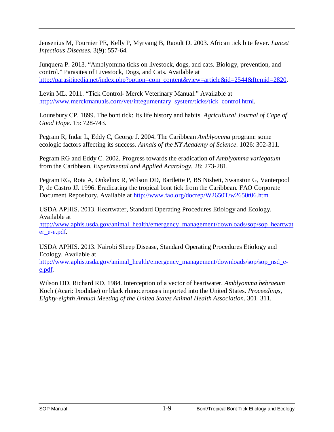Jensenius M, Fournier PE, Kelly P, Myrvang B, Raoult D. 2003. African tick bite fever. *Lancet Infectious Diseases.* 3(9): 557-64.

Junquera P. 2013. "Amblyomma ticks on livestock, dogs, and cats. Biology, prevention, and control." Parasites of Livestock, Dogs, and Cats. Available at [http://parasitipedia.net/index.php?option=com\\_content&view=article&id=2544&Itemid=2820.](http://parasitipedia.net/index.php?option=com_content&view=article&id=2544&Itemid=2820)

Levin ML. 2011. "Tick Control- Merck Veterinary Manual." Available at [http://www.merckmanuals.com/vet/integumentary\\_system/ticks/tick\\_control.html.](http://www.merckmanuals.com/vet/integumentary_system/ticks/tick_control.html)

Lounsbury CP. 1899. The bont tick: Its life history and habits. *Agricultural Journal of Cape of Good Hope*. 15: 728-743.

Pegram R, Indar L, Eddy C, George J. 2004. The Caribbean *Amblyomma* program: some ecologic factors affecting its success. *Annals of the NY Academy of Science*. 1026: 302-311.

Pegram RG and Eddy C. 2002. Progress towards the eradication of *Amblyomma variegatum* from the Caribbean. *Experimental and Applied Acarology*. 28: 273-281.

Pegram RG, Rota A, Onkelinx R, Wilson DD, Bartlette P, BS Nisbett, Swanston G, Vanterpool P, de Castro JJ. 1996. Eradicating the tropical bont tick from the Caribbean. FAO Corporate Document Repository. Available at [http://www.fao.org/docrep/W2650T/w2650t06.htm.](http://www.fao.org/docrep/W2650T/w2650t06.htm)

USDA APHIS. 2013. Heartwater, Standard Operating Procedures Etiology and Ecology. Available at

[http://www.aphis.usda.gov/animal\\_health/emergency\\_management/downloads/sop/sop\\_heartwat](http://www.aphis.usda.gov/animal_health/emergency_management/downloads/sop/sop_heartwater_e-e.pdf) [er\\_e-e.pdf.](http://www.aphis.usda.gov/animal_health/emergency_management/downloads/sop/sop_heartwater_e-e.pdf)

USDA APHIS. 2013. Nairobi Sheep Disease, Standard Operating Procedures Etiology and Ecology. Available at

[http://www.aphis.usda.gov/animal\\_health/emergency\\_management/downloads/sop/sop\\_nsd\\_e](http://www.aphis.usda.gov/animal_health/emergency_management/downloads/sop/sop_nsd_e-e.pdf)[e.pdf.](http://www.aphis.usda.gov/animal_health/emergency_management/downloads/sop/sop_nsd_e-e.pdf)

Wilson DD, Richard RD. 1984. Interception of a vector of heartwater, *Amblyomma hebraeum* Koch (Acari: Ixodidae) or black rhinocerouses imported into the United States. *Proceedings, Eighty-eighth Annual Meeting of the United States Animal Health Association*. 301–311.